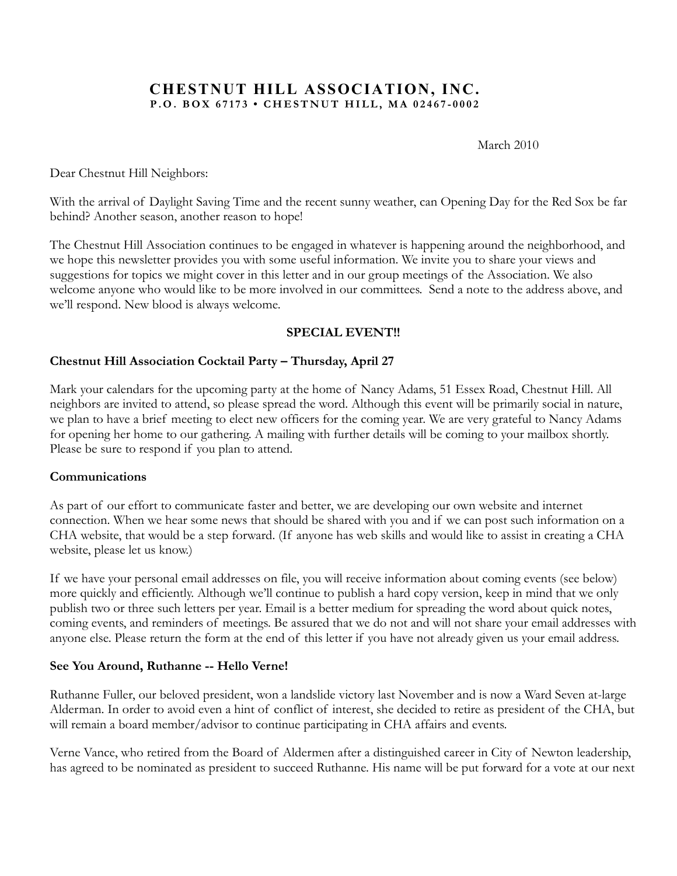### **CHESTNUT HILL ASSOCIATION, INC. P.O. BOX 67173 • CHESTNUT HILL, MA 02467 - 0002**

March 2010

Dear Chestnut Hill Neighbors:

With the arrival of Daylight Saving Time and the recent sunny weather, can Opening Day for the Red Sox be far behind? Another season, another reason to hope!

The Chestnut Hill Association continues to be engaged in whatever is happening around the neighborhood, and we hope this newsletter provides you with some useful information. We invite you to share your views and suggestions for topics we might cover in this letter and in our group meetings of the Association. We also welcome anyone who would like to be more involved in our committees. Send a note to the address above, and we'll respond. New blood is always welcome.

### **SPECIAL EVENT!!**

### **Chestnut Hill Association Cocktail Party – Thursday, April 27**

Mark your calendars for the upcoming party at the home of Nancy Adams, 51 Essex Road, Chestnut Hill. All neighbors are invited to attend, so please spread the word. Although this event will be primarily social in nature, we plan to have a brief meeting to elect new officers for the coming year. We are very grateful to Nancy Adams for opening her home to our gathering. A mailing with further details will be coming to your mailbox shortly. Please be sure to respond if you plan to attend.

### **Communications**

As part of our effort to communicate faster and better, we are developing our own website and internet connection. When we hear some news that should be shared with you and if we can post such information on a CHA website, that would be a step forward. (If anyone has web skills and would like to assist in creating a CHA website, please let us know.)

If we have your personal email addresses on file, you will receive information about coming events (see below) more quickly and efficiently. Although we'll continue to publish a hard copy version, keep in mind that we only publish two or three such letters per year. Email is a better medium for spreading the word about quick notes, coming events, and reminders of meetings. Be assured that we do not and will not share your email addresses with anyone else. Please return the form at the end of this letter if you have not already given us your email address.

### **See You Around, Ruthanne -- Hello Verne!**

Ruthanne Fuller, our beloved president, won a landslide victory last November and is now a Ward Seven at-large Alderman. In order to avoid even a hint of conflict of interest, she decided to retire as president of the CHA, but will remain a board member/advisor to continue participating in CHA affairs and events.

Verne Vance, who retired from the Board of Aldermen after a distinguished career in City of Newton leadership, has agreed to be nominated as president to succeed Ruthanne. His name will be put forward for a vote at our next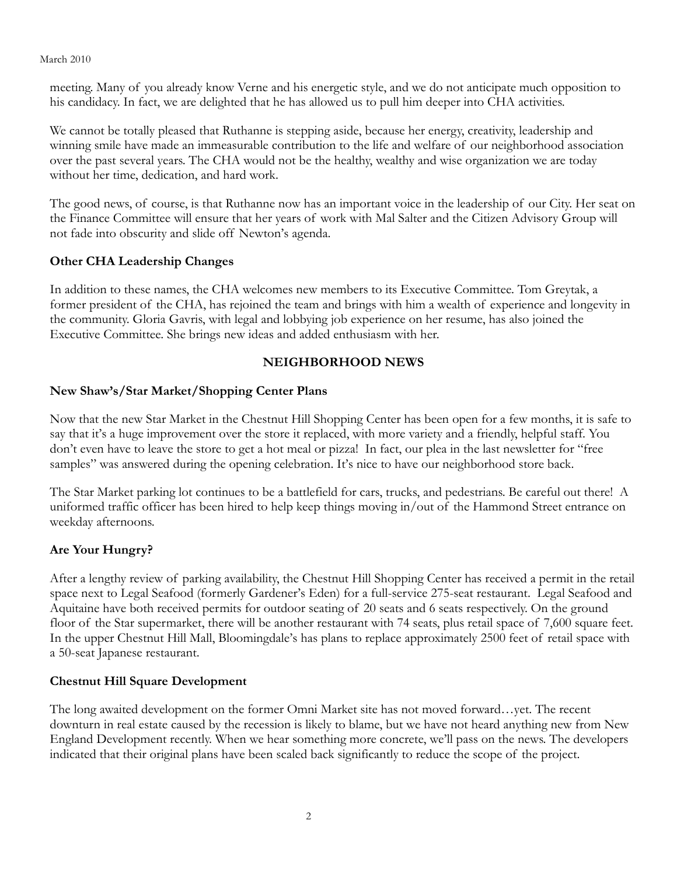#### March 2010

meeting. Many of you already know Verne and his energetic style, and we do not anticipate much opposition to his candidacy. In fact, we are delighted that he has allowed us to pull him deeper into CHA activities.

We cannot be totally pleased that Ruthanne is stepping aside, because her energy, creativity, leadership and winning smile have made an immeasurable contribution to the life and welfare of our neighborhood association over the past several years. The CHA would not be the healthy, wealthy and wise organization we are today without her time, dedication, and hard work.

The good news, of course, is that Ruthanne now has an important voice in the leadership of our City. Her seat on the Finance Committee will ensure that her years of work with Mal Salter and the Citizen Advisory Group will not fade into obscurity and slide off Newton's agenda.

### **Other CHA Leadership Changes**

In addition to these names, the CHA welcomes new members to its Executive Committee. Tom Greytak, a former president of the CHA, has rejoined the team and brings with him a wealth of experience and longevity in the community. Gloria Gavris, with legal and lobbying job experience on her resume, has also joined the Executive Committee. She brings new ideas and added enthusiasm with her.

### **NEIGHBORHOOD NEWS**

### **New Shaw's/Star Market/Shopping Center Plans**

Now that the new Star Market in the Chestnut Hill Shopping Center has been open for a few months, it is safe to say that it's a huge improvement over the store it replaced, with more variety and a friendly, helpful staff. You don't even have to leave the store to get a hot meal or pizza! In fact, our plea in the last newsletter for "free samples" was answered during the opening celebration. It's nice to have our neighborhood store back.

The Star Market parking lot continues to be a battlefield for cars, trucks, and pedestrians. Be careful out there! A uniformed traffic officer has been hired to help keep things moving in/out of the Hammond Street entrance on weekday afternoons.

### **Are Your Hungry?**

After a lengthy review of parking availability, the Chestnut Hill Shopping Center has received a permit in the retail space next to Legal Seafood (formerly Gardener's Eden) for a full-service 275-seat restaurant. Legal Seafood and Aquitaine have both received permits for outdoor seating of 20 seats and 6 seats respectively. On the ground floor of the Star supermarket, there will be another restaurant with 74 seats, plus retail space of 7,600 square feet. In the upper Chestnut Hill Mall, Bloomingdale's has plans to replace approximately 2500 feet of retail space with a 50-seat Japanese restaurant.

### **Chestnut Hill Square Development**

The long awaited development on the former Omni Market site has not moved forward…yet. The recent downturn in real estate caused by the recession is likely to blame, but we have not heard anything new from New England Development recently. When we hear something more concrete, we'll pass on the news. The developers indicated that their original plans have been scaled back significantly to reduce the scope of the project.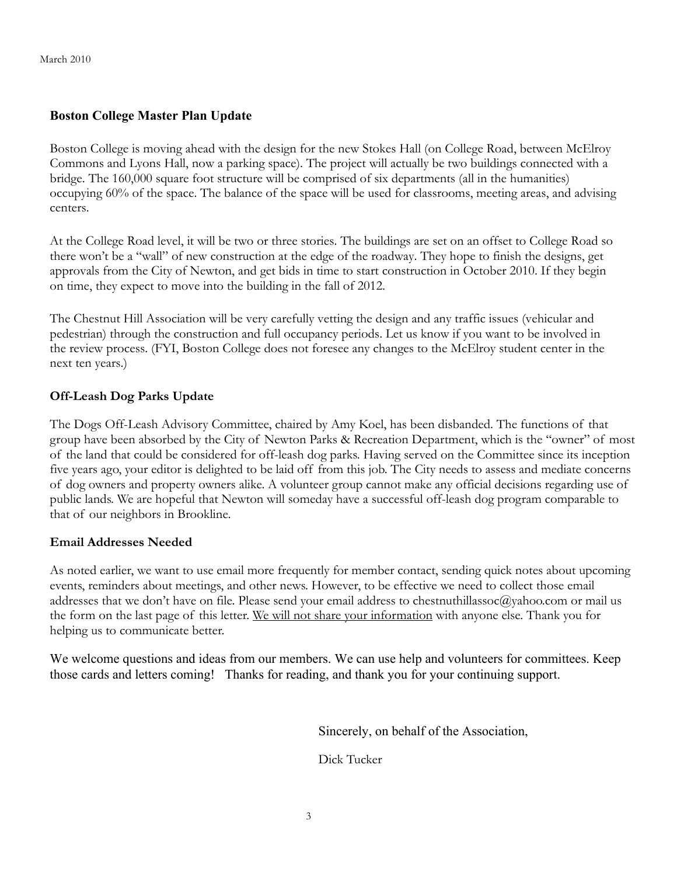### **Boston College Master Plan Update**

Boston College is moving ahead with the design for the new Stokes Hall (on College Road, between McElroy Commons and Lyons Hall, now a parking space). The project will actually be two buildings connected with a bridge. The 160,000 square foot structure will be comprised of six departments (all in the humanities) occupying 60% of the space. The balance of the space will be used for classrooms, meeting areas, and advising centers.

At the College Road level, it will be two or three stories. The buildings are set on an offset to College Road so there won't be a "wall" of new construction at the edge of the roadway. They hope to finish the designs, get approvals from the City of Newton, and get bids in time to start construction in October 2010. If they begin on time, they expect to move into the building in the fall of 2012.

The Chestnut Hill Association will be very carefully vetting the design and any traffic issues (vehicular and pedestrian) through the construction and full occupancy periods. Let us know if you want to be involved in the review process. (FYI, Boston College does not foresee any changes to the McElroy student center in the next ten years.)

#### **Off-Leash Dog Parks Update**

The Dogs Off-Leash Advisory Committee, chaired by Amy Koel, has been disbanded. The functions of that group have been absorbed by the City of Newton Parks & Recreation Department, which is the "owner" of most of the land that could be considered for off-leash dog parks. Having served on the Committee since its inception five years ago, your editor is delighted to be laid off from this job. The City needs to assess and mediate concerns of dog owners and property owners alike. A volunteer group cannot make any official decisions regarding use of public lands. We are hopeful that Newton will someday have a successful off-leash dog program comparable to that of our neighbors in Brookline.

#### **Email Addresses Needed**

As noted earlier, we want to use email more frequently for member contact, sending quick notes about upcoming events, reminders about meetings, and other news. However, to be effective we need to collect those email addresses that we don't have on file. Please send your email address to chestnuthillassoc@yahoo.com or mail us the form on the last page of this letter. We will not share your information with anyone else. Thank you for helping us to communicate better.

We welcome questions and ideas from our members. We can use help and volunteers for committees. Keep those cards and letters coming! Thanks for reading, and thank you for your continuing support.

Sincerely, on behalf of the Association,

Dick Tucker